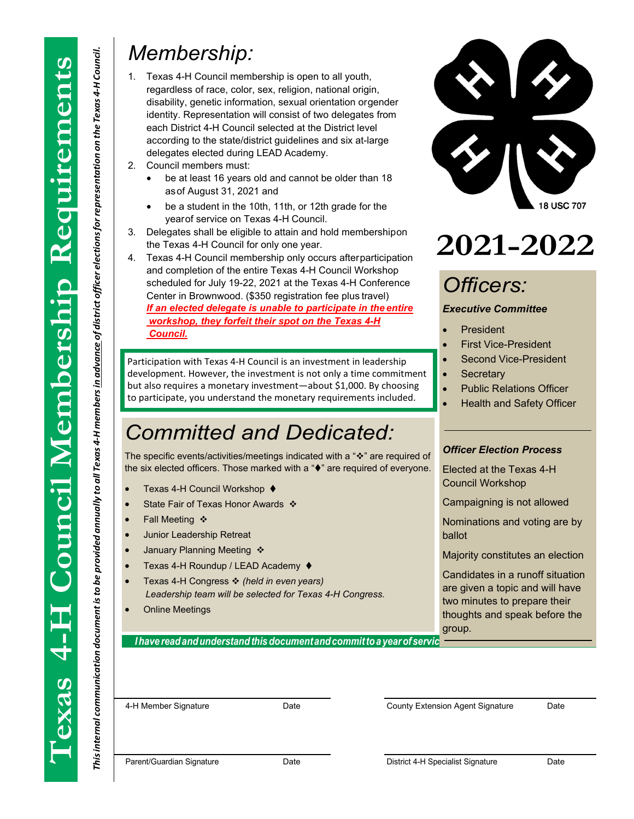*4-H membersin advance of district officer electionsforrepresentation on the Texas*

This internal communication document is to be provided annually to all Texas 4-H members in advance of district officer elections for representation on the Texas 4-H Council.

*4-H Council.*

*Thisinternal communication documentisto be provided annually to all Texas*

### *Membership:*

- 1. Texas 4-H Council membership is open to all youth, regardless of race, color, sex, religion, national origin, disability, genetic information, sexual orientation orgender identity. Representation will consist of two delegates from each District 4-H Council selected at the District level according to the state/district guidelines and six at-large delegates elected during LEAD Academy.
- 2. Council members must:
	- be at least 16 years old and cannot be older than 18 asof August 31, 2021 and
	- be a student in the 10th, 11th, or 12th grade for the yearof service on Texas 4-H Council.
- 3. Delegates shall be eligible to attain and hold membershipon the Texas 4-H Council for only one year.
- 4. Texas 4-H Council membership only occurs afterparticipation and completion of the entire Texas 4-H Council Workshop scheduled for July 19-22, 2021 at the Texas 4-H Conference Center in Brownwood. (\$350 registration fee plus travel) *If an elected delegate is unable to participate in the entire workshop, they forfeit their spot on the Texas 4-H Council.*

Participation with Texas 4-H Council is an investment in leadership development. However, the investment is not only a time commitment but also requires a monetary investment—about \$1,000. By choosing to participate, you understand the monetary requirements included.

## *Committed and Dedicated: Committed and Dedicated:*

The specific events/activities/meetings indicated with a "❖" are required of the six elected officers. Those marked with a " $\blacklozenge$ " are required of everyone.

- Texas 4-H Council Workshop <
- State Fair of Texas Honor Awards ❖
- Fall Meeting ❖
- Junior Leadership Retreat
- January Planning Meeting  $\clubsuit$
- Texas 4-H Roundup / LEAD Academy  $\blacklozenge$
- Texas 4-H Congress *❖ (held in even years)* Texas 4-H Congress *(held in even years) Leadership team will be selected for Texas 4-H Congress.*
- Online Meetings

*<i>Ihave read and understand this document and commit to a year of servic* 



# **2021-2022**

## *Officers:*

#### *Executive Committee*

- **President**
- First Vice-President
- Second Vice-President
- **Secretary**
- Public Relations Officer
- Health and Safety Officer

#### *Officer Election Process*

Elected at the Texas 4-H Council Workshop

Campaigning is not allowed

Nominations and voting are by ballot

Majority constitutes an election

Candidates in a runoff situation are given a topic and will have two minutes to prepare their thoughts and speak before the group.

4-H Member Signature Date County Extension Agent Signature Date